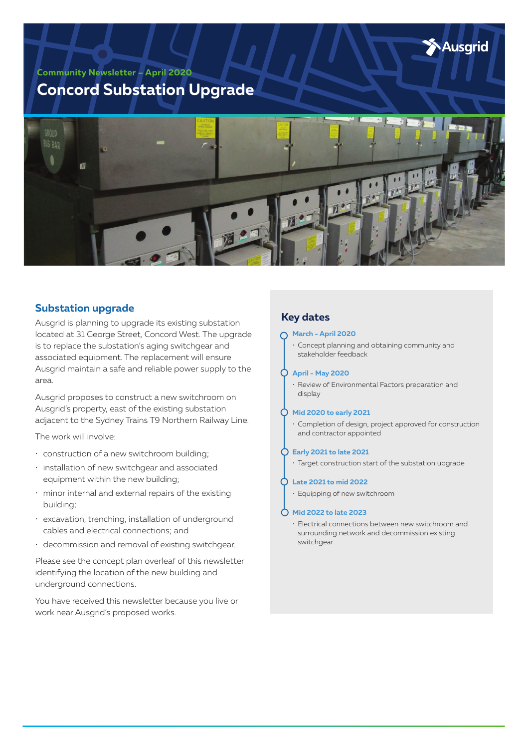Ausgrid

**Community Newsletter – April 2020**

# **Concord Substation Upgrade**



## **Substation upgrade**

Ausgrid is planning to upgrade its existing substation located at 31 George Street, Concord West. The upgrade is to replace the substation's aging switchgear and associated equipment. The replacement will ensure Ausgrid maintain a safe and reliable power supply to the area.

Ausgrid proposes to construct a new switchroom on Ausgrid's property, east of the existing substation adjacent to the Sydney Trains T9 Northern Railway Line.

The work will involve:

- construction of a new switchroom building;
- installation of new switchgear and associated equipment within the new building;
- minor internal and external repairs of the existing building;
- excavation, trenching, installation of underground cables and electrical connections; and
- decommission and removal of existing switchgear.

Please see the concept plan overleaf of this newsletter identifying the location of the new building and underground connections.

You have received this newsletter because you live or work near Ausgrid's proposed works.

# **Key dates**

#### **March - April 2020**

• Concept planning and obtaining community and stakeholder feedback

#### **April - May 2020**

• Review of Environmental Factors preparation and display

#### **Mid 2020 to early 2021**

• Completion of design, project approved for construction and contractor appointed

#### **Early 2021 to late 2021**

• Target construction start of the substation upgrade

#### **Late 2021 to mid 2022**

• Equipping of new switchroom

#### **Mid 2022 to late 2023**

• Electrical connections between new switchroom and surrounding network and decommission existing switchgear